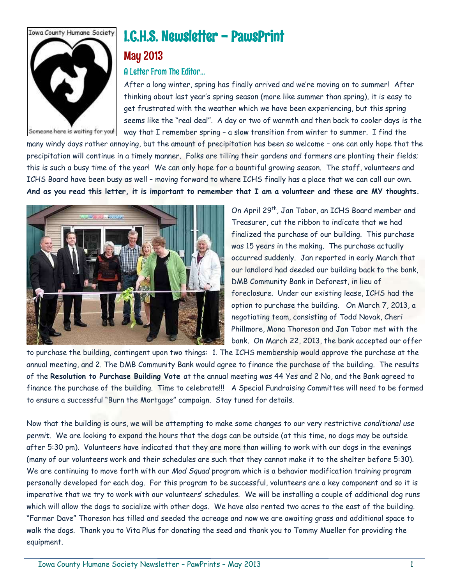

# I.C.H.S. Newsletter - PawsPrint

# May 2013

# A Letter From The Editor…

After a long winter, spring has finally arrived and we're moving on to summer! After thinking about last year's spring season (more like summer than spring), it is easy to get frustrated with the weather which we have been experiencing, but this spring seems like the "real deal". A day or two of warmth and then back to cooler days is the way that I remember spring – a slow transition from winter to summer. I find the

many windy days rather annoying, but the amount of precipitation has been so welcome – one can only hope that the precipitation will continue in a timely manner. Folks are tilling their gardens and farmers are planting their fields; this is such a busy time of the year! We can only hope for a bountiful growing season. The staff, volunteers and ICHS Board have been busy as well – moving forward to where ICHS finally has a place that we can call our own. **And as you read this letter, it is important to remember that I am a volunteer and these are MY thoughts.**



On April 29th, Jan Tabor, an ICHS Board member and Treasurer, cut the ribbon to indicate that we had finalized the purchase of our building. This purchase was 15 years in the making. The purchase actually occurred suddenly. Jan reported in early March that our landlord had deeded our building back to the bank, DMB Community Bank in Deforest, in lieu of foreclosure. Under our existing lease, ICHS had the option to purchase the building.On March 7, 2013, a negotiating team, consisting of Todd Novak, Cheri Phillmore, Mona Thoreson and Jan Tabor met with the bank. On March 22, 2013, the bank accepted our offer

to purchase the building, contingent upon two things: 1. The ICHS membership would approve the purchase at the annual meeting, and 2. The DMB Community Bank would agree to finance the purchase of the building. The results of the **Resolution to Purchase Building Vote** at the annual meeting was 44 Yes and 2 No, and the Bank agreed to finance the purchase of the building. Time to celebrate!!! A Special Fundraising Committee will need to be formed to ensure a successful "Burn the Mortgage" campaign. Stay tuned for details.

Now that the building is ours, we will be attempting to make some changes to our very restrictive *conditional use permit*. We are looking to expand the hours that the dogs can be outside (at this time, no dogs may be outside after 5:30 pm). Volunteers have indicated that they are more than willing to work with our dogs in the evenings (many of our volunteers work and their schedules are such that they cannot make it to the shelter before 5:30). We are continuing to move forth with our *Mod Squad* program which is a behavior modification training program personally developed for each dog. For this program to be successful, volunteers are a key component and so it is imperative that we try to work with our volunteers' schedules. We will be installing a couple of additional dog runs which will allow the dogs to socialize with other dogs. We have also rented two acres to the east of the building. "Farmer Dave" Thoreson has tilled and seeded the acreage and now we are awaiting grass and additional space to walk the dogs. Thank you to Vita Plus for donating the seed and thank you to Tommy Mueller for providing the equipment.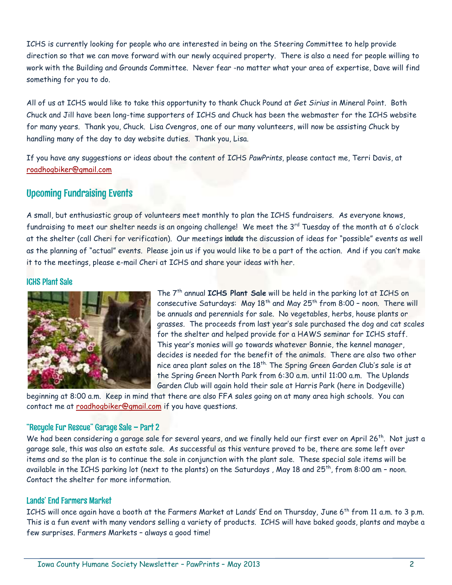ICHS is currently looking for people who are interested in being on the Steering Committee to help provide direction so that we can move forward with our newly acquired property. There is also a need for people willing to work with the Building and Grounds Committee. Never fear -no matter what your area of expertise, Dave will find something for you to do.

All of us at ICHS would like to take this opportunity to thank Chuck Pound at *Get Sirius* in Mineral Point. Both Chuck and Jill have been long-time supporters of ICHS and Chuck has been the webmaster for the ICHS website for many years. Thank you, Chuck. Lisa Cvengros, one of our many volunteers, will now be assisting Chuck by handling many of the day to day website duties. Thank you, Lisa.

If you have any suggestions or ideas about the content of ICHS *PawPrints*, please contact me, Terri Davis, at [roadhogbiker@gmail.com](mailto:roadhogbiker@gmail.com)

# Upcoming Fundraising Events

A small, but enthusiastic group of volunteers meet monthly to plan the ICHS fundraisers. As everyone knows, fundraising to meet our shelter needs is an ongoing challenge! We meet the 3rd Tuesday of the month at 6 o'clock at the shelter (call Cheri for verification). Our meetings include the discussion of ideas for "possible" events as well as the planning of "actual" events. Please join us if you would like to be a part of the action. And if you can't make it to the meetings, please e-mail Cheri at ICHS and share your ideas with her.

## ICHS Plant Sale



The 7th annual **ICHS Plant Sale** will be held in the parking lot at ICHS on consecutive Saturdays: May  $18<sup>th</sup>$  and May  $25<sup>th</sup>$  from  $8:00$  - noon. There will be annuals and perennials for sale. No vegetables, herbs, house plants or grasses. The proceeds from last year's sale purchased the dog and cat scales for the shelter and helped provide for a HAWS seminar for ICHS staff. This year's monies will go towards whatever Bonnie, the kennel manager, decides is needed for the benefit of the animals. There are also two other nice area plant sales on the 18<sup>th.</sup> The Spring Green Garden Club's sale is at the Spring Green North Park from 6:30 a.m. until 11:00 a.m. The Uplands Garden Club will again hold their sale at Harris Park (here in Dodgeville)

beginning at 8:00 a.m. Keep in mind that there are also FFA sales going on at many area high schools. You can contact me at [roadhogbiker@gmail.com](mailto:roadhogbiker@gmail.com) if you have questions.

#### "Recycle Fur Rescue" Garage Sale – Part 2

We had been considering a garage sale for several years, and we finally held our first ever on April 26<sup>th</sup>. Not just a garage sale, this was also an estate sale. As successful as this venture proved to be, there are some left over items and so the plan is to continue the sale in conjunction with the plant sale. These special sale items will be available in the ICHS parking lot (next to the plants) on the Saturdays, May 18 and 25<sup>th</sup>, from 8:00 am - noon. Contact the shelter for more information.

## Lands' End Farmers Market

ICHS will once again have a booth at the Farmers Market at Lands' End on Thursday, June 6<sup>th</sup> from 11 a.m. to 3 p.m. This is a fun event with many vendors selling a variety of products. ICHS will have baked goods, plants and maybe a few surprises. Farmers Markets – always a good time!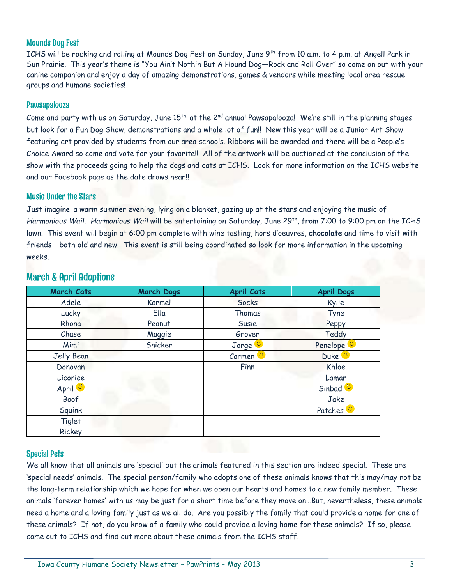## Mounds Dog Fest

ICHS will be rocking and rolling at Mounds Dog Fest on Sunday, June 9 th from 10 a.m. to 4 p.m. at Angell Park in Sun Prairie. This year's theme is "You Ain't Nothin But A Hound Dog—Rock and Roll Over" so come on out with your canine companion and enjoy a day of amazing demonstrations, games & vendors while meeting local area rescue groups and humane societies!

## Pawsapalooza

Come and party with us on Saturday, June  $15^{\text{th}}$  at the 2 $^{\text{nd}}$  annual Pawsapalooza! We're still in the planning stages but look for a Fun Dog Show, demonstrations and a whole lot of fun!! New this year will be a Junior Art Show featuring art provided by students from our area schools. Ribbons will be awarded and there will be a People's Choice Award so come and vote for your favorite!! All of the artwork will be auctioned at the conclusion of the show with the proceeds going to help the dogs and cats at ICHS. Look for more information on the ICHS website and our Facebook page as the date draws near!!

### Music Under the Stars

Just imagine a warm summer evening, lying on a blanket, gazing up at the stars and enjoying the music of *Harmonious Wail*. *Harmonious Wail* will be entertaining on Saturday, June 29th, from 7:00 to 9:00 pm on the ICHS lawn. This event will begin at 6:00 pm complete with wine tasting, hors d'oeuvres, **chocolate** and time to visit with friends – both old and new. This event is still being coordinated so look for more information in the upcoming weeks.

| <b>March Cats</b>  | <b>March Dogs</b> | <b>April Cats</b>  | <b>April Dogs</b>     |
|--------------------|-------------------|--------------------|-----------------------|
| Adele              | Karmel            | Socks              | Kylie                 |
| Lucky              | Ella              | Thomas             | Tyne                  |
| Rhona              | Peanut            | Susie              | Peppy                 |
| Chase              | Maggie            | Grover             | Teddy                 |
| Mimi               | Snicker           | Jorge <sup>1</sup> | Penelope <sup>1</sup> |
| Jelly Bean         |                   | Carmen             | Duke <sup>U</sup>     |
| Donovan            |                   | Finn               | Khloe                 |
| Licorice           |                   |                    | Lamar                 |
| April <sup>1</sup> |                   |                    | Sinbad <sup>1</sup>   |
| Boof               |                   |                    | Jake                  |
| Squink             |                   |                    | Patches <sup>1</sup>  |
| Tiglet             |                   |                    |                       |
| Rickey             |                   |                    |                       |

# March & April Adoptions

## Special Pets

We all know that all animals are 'special' but the animals featured in this section are indeed special. These are 'special needs' animals. The special person/family who adopts one of these animals knows that this may/may not be the long-term relationship which we hope for when we open our hearts and homes to a new family member. These animals 'forever homes' with us may be just for a short time before they move on…But, nevertheless, these animals need a home and a loving family just as we all do. Are you possibly the family that could provide a home for one of these animals? If not, do you know of a family who could provide a loving home for these animals? If so, please come out to ICHS and find out more about these animals from the ICHS staff.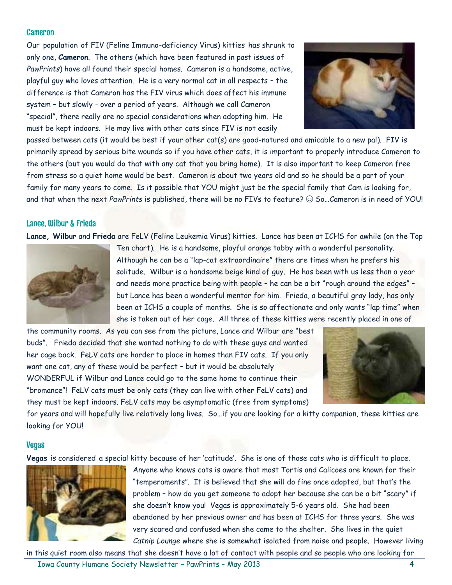#### Cameron

Our population of FIV (Feline Immuno-deficiency Virus) kitties has shrunk to only one, **Cameron**. The others (which have been featured in past issues of *PawPrints*) have all found their special homes. Cameron is a handsome, active, playful guy who loves attention. He is a very normal cat in all respects – the difference is that Cameron has the FIV virus which does affect his immune system – but slowly - over a period of years. Although we call Cameron "special", there really are no special considerations when adopting him. He must be kept indoors. He may live with other cats since FIV is not easily



passed between cats (it would be best if your other cat(s) are good-natured and amicable to a new pal). FIV is primarily spread by serious bite wounds so if you have other cats, it is important to properly introduce Cameron to the others (but you would do that with any cat that you bring home). It is also important to keep Cameron free from stress so a quiet home would be best. Cameron is about two years old and so he should be a part of your family for many years to come. Is it possible that YOU might just be the special family that Cam is looking for, and that when the next *PawPrints* is published, there will be no FIVs to feature? ☺ So…Cameron is in need of YOU!

#### Lance, Wilbur & Frieda

**Lance, Wilbur** and **Frieda** are FeLV (Feline Leukemia Virus) kitties. Lance has been at ICHS for awhile (on the Top



Ten chart). He is a handsome, playful orange tabby with a wonderful personality. Although he can be a "lap-cat extraordinaire" there are times when he prefers his solitude. Wilbur is a handsome beige kind of guy. He has been with us less than a year and needs more practice being with people – he can be a bit "rough around the edges" – but Lance has been a wonderful mentor for him. Frieda, a beautiful gray lady, has only been at ICHS a couple of months. She is so affectionate and only wants "lap time" when she is taken out of her cage. All three of these kitties were recently placed in one of

the community rooms. As you can see from the picture, Lance and Wilbur are "best buds". Frieda decided that she wanted nothing to do with these guys and wanted her cage back. FeLV cats are harder to place in homes than FIV cats. If you only want one cat, any of these would be perfect – but it would be absolutely WONDERFUL if Wilbur and Lance could go to the same home to continue their "bromance"! FeLV cats must be only cats (they can live with other FeLV cats) and they must be kept indoors. FeLV cats may be asymptomatic (free from symptoms)



for years and will hopefully live relatively long lives. So…if you are looking for a kitty companion, these kitties are looking for YOU!

#### Vegas

**Vegas** is considered a special kitty because of her 'catitude'. She is one of those cats who is difficult to place.



Anyone who knows cats is aware that most Tortis and Calicoes are known for their "temperaments". It is believed that she will do fine once adopted, but that's the problem – how do you get someone to adopt her because she can be a bit "scary" if she doesn't know you! Vegas is approximately 5-6 years old. She had been abandoned by her previous owner and has been at ICHS for three years. She was very scared and confused when she came to the shelter. She lives in the quiet *Catnip Lounge* where she is somewhat isolated from noise and people. However living

in this quiet room also means that she doesn't have a lot of contact with people and so people who are looking for

Iowa County Humane Society Newsletter – PawPrints – May 2013 4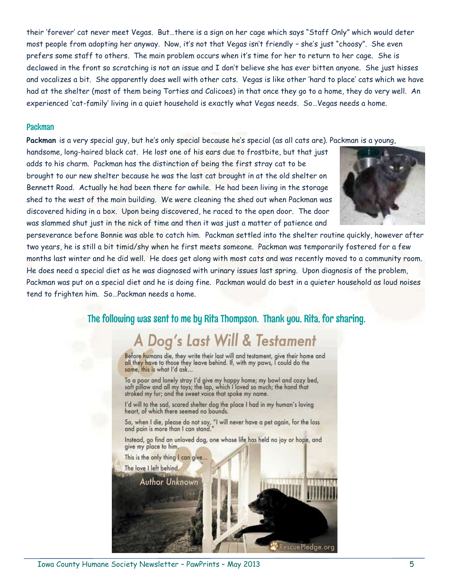their 'forever' cat never meet Vegas. But…there is a sign on her cage which says "Staff Only" which would deter most people from adopting her anyway. Now, it's not that Vegas isn't friendly – she's just "choosy". She even prefers some staff to others. The main problem occurs when it's time for her to return to her cage. She is declawed in the front so scratching is not an issue and I don't believe she has ever bitten anyone. She just hisses and vocalizes a bit. She apparently does well with other cats. Vegas is like other 'hard to place' cats which we have had at the shelter (most of them being Torties and Calicoes) in that once they go to a home, they do very well. An experienced 'cat-family' living in a quiet household is exactly what Vegas needs. So…Vegas needs a home.

#### Packman

**Packman** is a very special guy, but he's only special because he's special (as all cats are). Packman is a young,

handsome, long-haired black cat. He lost one of his ears due to frostbite, but that just adds to his charm. Packman has the distinction of being the first stray cat to be brought to our new shelter because he was the last cat brought in at the old shelter on Bennett Road. Actually he had been there for awhile. He had been living in the storage shed to the west of the main building. We were cleaning the shed out when Packman was discovered hiding in a box. Upon being discovered, he raced to the open door. The door was slammed shut just in the nick of time and then it was just a matter of patience and



perseverance before Bonnie was able to catch him. Packman settled into the shelter routine quickly, however after two years, he is still a bit timid/shy when he first meets someone. Packman was temporarily fostered for a few months last winter and he did well. He does get along with most cats and was recently moved to a community room. He does need a special diet as he was diagnosed with urinary issues last spring. Upon diagnosis of the problem, Packman was put on a special diet and he is doing fine. Packman would do best in a quieter household as loud noises tend to frighten him. So…Packman needs a home.

# The following was sent to me by Rita Thompson. Thank you, Rita, for sharing.

# A Dog's Last Will & Testament

Before humans die, they write their last will and testament, give their home and all they have to those they leave behind. If, with my paws, I could do the same, this is what I'd ask...

To a poor and lonely stray I'd give my happy home; my bowl and cozy bed, soft pillow and all my toys; the lap, which I loved so much; the hand that stroked my fur; and the sweet voice that spoke my name.

I'd will to the sad, scared shelter dog the place I had in my human's loving heart, of which there seemed no bounds.

So, when I die, please do not say, "I will never have a pet again, for the loss and pain is more than I can stand."

Instead, go find an unloved dog, one whose life has held no joy or hope, and give my place to him.

This is the only thing I can give...

Author Unknown

The love I left behind.

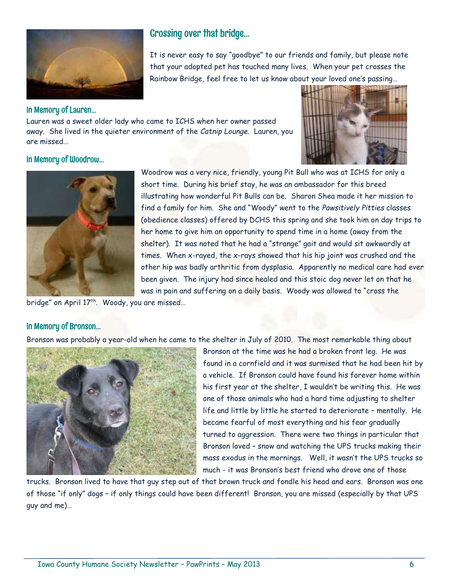

# Crossing over that bridge…

It is never easy to say "goodbye" to our friends and family, but please note that your adopted pet has touched many lives. When your pet crosses the Rainbow Bridge, feel free to let us know about your loved one's passing…

### In Memory of Lauren…

Lauren was a sweet older lady who came to ICHS when her owner passed away. She lived in the quieter environment of the *Catnip Lounge.* Lauren, you are missed…



## In Memory of Woodrow…



Woodrow was a very nice, friendly, young Pit Bull who was at ICHS for only a short time. During his brief stay, he was an ambassador for this breed illustrating how wonderful Pit Bulls can be. Sharon Shea made it her mission to find a family for him. She and "Woody" went to the *Pawsitively Pitties* classes (obedience classes) offered by DCHS this spring and she took him on day trips to her home to give him an opportunity to spend time in a home (away from the shelter). It was noted that he had a "strange" gait and would sit awkwardly at times. When x-rayed, the x-rays showed that his hip joint was crushed and the other hip was badly arthritic from dysplasia. Apparently no medical care had ever been given. The injury had since healed and this stoic dog never let on that he was in pain and suffering on a daily basis. Woody was allowed to "cross the

bridge" on April 17<sup>th</sup>. Woody, you are missed...

## In Memory of Bronson…

Bronson was probably a year-old when he came to the shelter in July of 2010. The most remarkable thing about



Bronson at the time was he had a broken front leg. He was found in a cornfield and it was surmised that he had been hit by a vehicle. If Bronson could have found his forever home within his first year at the shelter, I wouldn't be writing this. He was one of those animals who had a hard time adjusting to shelter life and little by little he started to deteriorate – mentally. He became fearful of most everything and his fear gradually turned to aggression. There were two things in particular that Bronson loved – snow and watching the UPS trucks making their mass exodus in the mornings. Well, it wasn't the UPS trucks so much - it was Bronson's best friend who drove one of those

trucks. Bronson lived to have that guy step out of that brown truck and fondle his head and ears. Bronson was one of those "if only" dogs – if only things could have been different! Bronson, you are missed (especially by that UPS guy and me)…